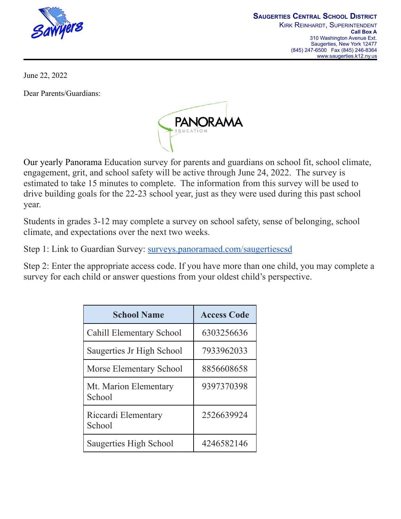

June 22, 2022

Dear Parents/Guardians:



Our yearly Panorama Education survey for parents and guardians on school fit, school climate, engagement, grit, and school safety will be active through June 24, 2022. The survey is estimated to take 15 minutes to complete. The information from this survey will be used to drive building goals for the 22-23 school year, just as they were used during this past school year.

Students in grades 3-12 may complete a survey on school safety, sense of belonging, school climate, and expectations over the next two weeks.

Step 1: Link to Guardian Survey: [surveys.panoramaed.com/saugertiescsd](https://surveys.panoramaed.com/saugertiescsd)

Step 2: Enter the appropriate access code. If you have more than one child, you may complete a survey for each child or answer questions from your oldest child's perspective.

| <b>School Name</b>              | <b>Access Code</b> |
|---------------------------------|--------------------|
| Cahill Elementary School        | 6303256636         |
| Saugerties Jr High School       | 7933962033         |
| <b>Morse Elementary School</b>  | 8856608658         |
| Mt. Marion Elementary<br>School | 9397370398         |
| Riccardi Elementary<br>School   | 2526639924         |
| Saugerties High School          | 4246582146         |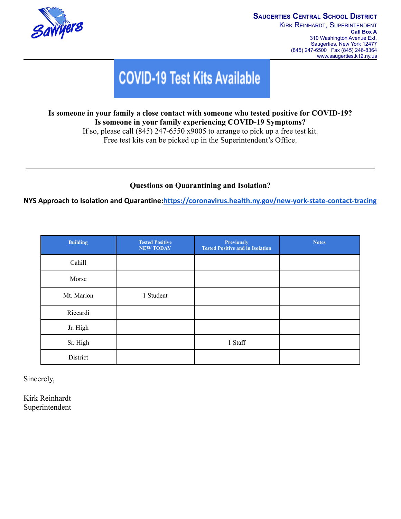

## **COVID-19 Test Kits Available**

## **Is someone in your family a close contact with someone who tested positive for COVID-19? Is someone in your family experiencing COVID-19 Symptoms?**

If so, please call (845) 247-6550 x9005 to arrange to pick up a free test kit. Free test kits can be picked up in the Superintendent's Office.

## **Questions on Quarantining and Isolation?**

**NYS Approach to Isolation and Quarantine:<https://coronavirus.health.ny.gov/new-york-state-contact-tracing>**

| <b>Building</b> | <b>Tested Positive</b><br><b>NEW TODAY</b> | <b>Previously</b><br><b>Tested Positive and in Isolation</b> | <b>Notes</b> |
|-----------------|--------------------------------------------|--------------------------------------------------------------|--------------|
| Cahill          |                                            |                                                              |              |
| Morse           |                                            |                                                              |              |
| Mt. Marion      | 1 Student                                  |                                                              |              |
| Riccardi        |                                            |                                                              |              |
| Jr. High        |                                            |                                                              |              |
| Sr. High        |                                            | 1 Staff                                                      |              |
| District        |                                            |                                                              |              |

Sincerely,

Kirk Reinhardt Superintendent